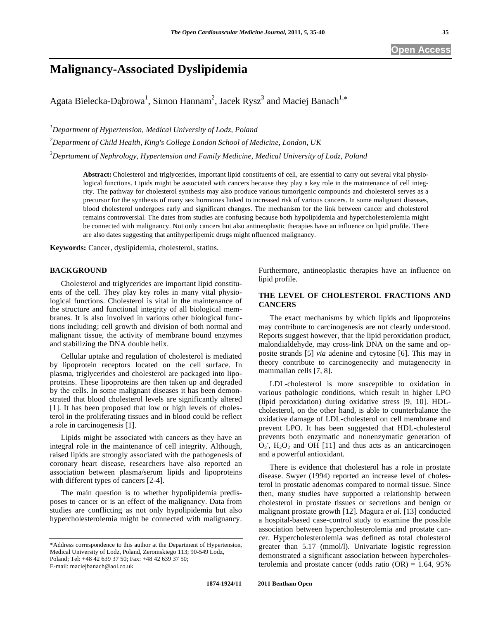# **Malignancy-Associated Dyslipidemia**

Agata Bielecka-Dąbrowa<sup>1</sup>, Simon Hannam<sup>2</sup>, Jacek Rysz<sup>3</sup> and Maciej Banach<sup>1,\*</sup>

*1 Department of Hypertension, Medical University of Lodz, Poland* 

*2 Department of Child Health, King's College London School of Medicine, London, UK* 

*3 Deprtament of Nephrology, Hypertension and Family Medicine, Medical University of Lodz, Poland* 

**Abstract:** Cholesterol and triglycerides, important lipid constituents of cell, are essential to carry out several vital physiological functions. Lipids might be associated with cancers because they play a key role in the maintenance of cell integrity. The pathway for cholesterol synthesis may also produce various tumorigenic compounds and cholesterol serves as a precursor for the synthesis of many sex hormones linked to increased risk of various cancers. In some malignant diseases, blood cholesterol undergoes early and significant changes. The mechanism for the link between cancer and cholesterol remains controversial. The dates from studies are confusing because both hypolipidemia and hypercholesterolemia might be connected with malignancy. Not only cancers but also antineoplastic therapies have an influence on lipid profile. There are also dates suggesting that antihyperlipemic drugs might nfluenced malignancy.

**Keywords:** Cancer, dyslipidemia, cholesterol, statins.

# **BACKGROUND**

 Cholesterol and triglycerides are important lipid constituents of the cell. They play key roles in many vital physiological functions. Cholesterol is vital in the maintenance of the structure and functional integrity of all biological membranes. It is also involved in various other biological functions including; cell growth and division of both normal and malignant tissue, the activity of membrane bound enzymes and stabilizing the DNA double helix.

 Cellular uptake and regulation of cholesterol is mediated by lipoprotein receptors located on the cell surface. In plasma, triglycerides and cholesterol are packaged into lipoproteins. These lipoproteins are then taken up and degraded by the cells. In some malignant diseases it has been demonstrated that blood cholesterol levels are significantly altered [1]. It has been proposed that low or high levels of cholesterol in the proliferating tissues and in blood could be reflect a role in carcinogenesis [1].

 Lipids might be associated with cancers as they have an integral role in the maintenance of cell integrity. Although, raised lipids are strongly associated with the pathogenesis of coronary heart disease, researchers have also reported an association between plasma/serum lipids and lipoproteins with different types of cancers [2-4].

 The main question is to whether hypolipidemia predisposes to cancer or is an effect of the malignancy. Data from studies are conflicting as not only hypolipidemia but also hypercholesterolemia might be connected with malignancy. Furthermore, antineoplastic therapies have an influence on lipid profile.

# **THE LEVEL OF CHOLESTEROL FRACTIONS AND CANCERS**

 The exact mechanisms by which lipids and lipoproteins may contribute to carcinogenesis are not clearly understood. Reports suggest however, that the lipid peroxidation product, malondialdehyde, may cross-link DNA on the same and opposite strands [5] *via* adenine and cytosine [6]. This may in theory contribute to carcinogenecity and mutagenecity in mammalian cells [7, 8].

 LDL-cholesterol is more susceptible to oxidation in various pathologic conditions, which result in higher LPO (lipid peroxidation) during oxidative stress [9, 10]. HDLcholesterol, on the other hand, is able to counterbalance the oxidative damage of LDL-cholesterol on cell membrane and prevent LPO. It has been suggested that HDL-cholesterol prevents both enzymatic and nonenzymatic generation of  $O_2$ ,  $H_2O_2$  and OH [11] and thus acts as an anticarcinogen and a powerful antioxidant.

 There is evidence that cholesterol has a role in prostate disease. Swyer (1994) reported an increase level of cholesterol in prostatic adenomas compared to normal tissue. Since then, many studies have supported a relationship between cholesterol in prostate tissues or secretions and benign or malignant prostate growth [12]. Magura *et al*. [13] conducted a hospital-based case-control study to examine the possible association between hypercholesterolemia and prostate cancer. Hypercholesterolemia was defined as total cholesterol greater than 5.17 (mmol/l). Univariate logistic regression demonstrated a significant association between hypercholesterolemia and prostate cancer (odds ratio  $(OR) = 1.64, 95\%$ 

<sup>\*</sup>Address correspondence to this author at the Department of Hypertension, Medical University of Lodz, Poland, Zeromskiego 113; 90-549 Lodz, Poland; Tel: +48 42 639 37 50; Fax: +48 42 639 37 50; E-mail: maciejbanach@aol.co.uk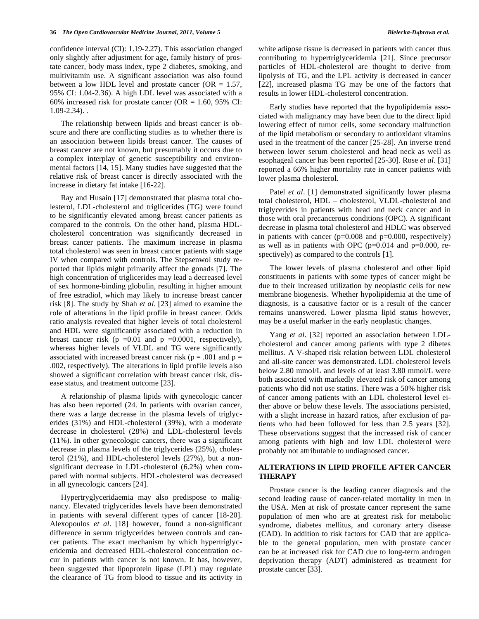confidence interval (CI): 1.19-2.27). This association changed only slightly after adjustment for age, family history of prostate cancer, body mass index, type 2 diabetes, smoking, and multivitamin use. A significant association was also found between a low HDL level and prostate cancer ( $OR = 1.57$ , 95% CI: 1.04-2.36). A high LDL level was associated with a 60% increased risk for prostate cancer ( $OR = 1.60$ , 95% CI: 1.09-2.34). .

 The relationship between lipids and breast cancer is obscure and there are conflicting studies as to whether there is an association between lipids breast cancer. The causes of breast cancer are not known, but presumably it occurs due to a complex interplay of genetic susceptibility and environmental factors [14, 15]. Many studies have suggested that the relative risk of breast cancer is directly associated with the increase in dietary fat intake [16-22].

 Ray and Husain [17] demonstrated that plasma total cholesterol, LDL-cholesterol and triglicerides (TG) were found to be significantly elevated among breast cancer patients as compared to the controls. On the other hand, plasma HDLcholesterol concentration was significantly decreased in breast cancer patients. The maximum increase in plasma total cholesterol was seen in breast cancer patients with stage IV when compared with controls. The Stepsenwol study reported that lipids might primarily affect the gonads [7]. The high concentration of triglicerides may lead a decreased level of sex hormone-binding globulin, resulting in higher amount of free estradiol, which may likely to increase breast cancer risk [8]. The study by Shah *et al*. [23] aimed to examine the role of alterations in the lipid profile in breast cancer. Odds ratio analysis revealed that higher levels of total cholesterol and HDL were significantly associated with a reduction in breast cancer risk ( $p = 0.01$  and  $p = 0.0001$ , respectively), whereas higher levels of VLDL and TG were significantly associated with increased breast cancer risk ( $p = .001$  and  $p =$ .002, respectively). The alterations in lipid profile levels also showed a significant correlation with breast cancer risk, disease status, and treatment outcome [23].

 A relationship of plasma lipids with gynecologic cancer has also been reported (24. In patients with ovarian cancer, there was a large decrease in the plasma levels of triglycerides (31%) and HDL-cholesterol (39%), with a moderate decrease in cholesterol (28%) and LDL-cholesterol levels (11%). In other gynecologic cancers, there was a significant decrease in plasma levels of the triglycerides (25%), cholesterol (21%), and HDL-cholesterol levels (27%), but a nonsignificant decrease in LDL-cholesterol (6.2%) when compared with normal subjects. HDL-cholesterol was decreased in all gynecologic cancers [24].

 Hypertryglyceridaemia may also predispose to malignancy. Elevated triglycerides levels have been demonstrated in patients with several different types of cancer [18-20]. Alexopoulos *et al*. [18] however, found a non-significant difference in serum triglycerides between controls and cancer patients. The exact mechanism by which hypertriglyceridemia and decreased HDL-cholesterol concentration occur in patients with cancer is not known. It has, however, been suggested that lipoprotein lipase (LPL) may regulate the clearance of TG from blood to tissue and its activity in white adipose tissue is decreased in patients with cancer thus contributing to hypertriglyceridemia [21]. Since precursor particles of HDL-cholesterol are thought to derive from lipolysis of TG, and the LPL activity is decreased in cancer [22], increased plasma TG may be one of the factors that results in lower HDL-cholesterol concentration.

 Early studies have reported that the hypolipidemia associated with malignancy may have been due to the direct lipid lowering effect of tumor cells, some secondary malfunction of the lipid metabolism or secondary to antioxidant vitamins used in the treatment of the cancer [25-28]. An inverse trend between lower serum cholesterol and head neck as well as esophageal cancer has been reported [25-30]. Rose *et al*. [31] reported a 66% higher mortality rate in cancer patients with lower plasma cholesterol.

Patel *et al.* [1] demonstrated significantly lower plasma total cholesterol, HDL – cholesterol, VLDL-cholesterol and triglycerides in patients with head and neck cancer and in those with oral precancerous conditions (OPC). A significant decrease in plasma total cholesterol and HDLC was observed in patients with cancer (p=0.008 and p=0.000, respectively) as well as in patients with OPC ( $p=0.014$  and  $p=0.000$ , respectively) as compared to the controls [1].

 The lower levels of plasma cholesterol and other lipid constituents in patients with some types of cancer might be due to their increased utilization by neoplastic cells for new membrane biogenesis. Whether hypolipidemia at the time of diagnosis, is a causative factor or is a result of the cancer remains unanswered. Lower plasma lipid status however, may be a useful marker in the early neoplastic changes.

 Yang *et al*. [32] reported an association between LDLcholesterol and cancer among patients with type 2 dibetes mellitus. A V-shaped risk relation between LDL cholesterol and all-site cancer was demonstrated. LDL cholesterol levels below 2.80 mmol/L and levels of at least 3.80 mmol/L were both associated with markedly elevated risk of cancer among patients who did not use statins. There was a 50% higher risk of cancer among patients with an LDL cholesterol level either above or below these levels. The associations persisted, with a slight increase in hazard ratios, after exclusion of patients who had been followed for less than 2.5 years [32]. These observations suggest that the increased risk of cancer among patients with high and low LDL cholesterol were probably not attributable to undiagnosed cancer.

## **ALTERATIONS IN LIPID PROFILE AFTER CANCER THERAPY**

 Prostate cancer is the leading cancer diagnosis and the second leading cause of cancer-related mortality in men in the USA. Men at risk of prostate cancer represent the same population of men who are at greatest risk for metabolic syndrome, diabetes mellitus, and coronary artery disease (CAD). In addition to risk factors for CAD that are applicable to the general population, men with prostate cancer can be at increased risk for CAD due to long-term androgen deprivation therapy (ADT) administered as treatment for prostate cancer [33].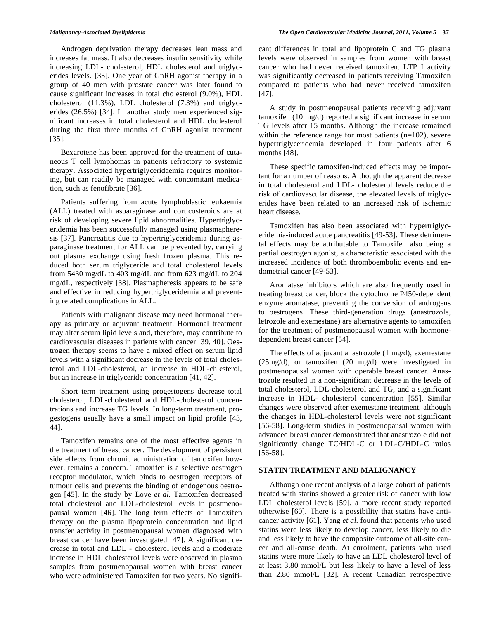Androgen deprivation therapy decreases lean mass and increases fat mass. It also decreases insulin sensitivity while increasing LDL- cholesterol, HDL cholesterol and triglycerides levels. [33]. One year of GnRH agonist therapy in a group of 40 men with prostate cancer was later found to cause significant increases in total cholesterol (9.0%), HDL cholesterol (11.3%), LDL cholesterol (7.3%) and triglycerides (26.5%) [34]. In another study men experienced significant increases in total cholesterol and HDL cholesterol during the first three months of GnRH agonist treatment [35].

 Bexarotene has been approved for the treatment of cutaneous T cell lymphomas in patients refractory to systemic therapy. Associated hypertriglyceridaemia requires monitoring, but can readily be managed with concomitant medication, such as fenofibrate [36].

 Patients suffering from acute lymphoblastic leukaemia (ALL) treated with asparaginase and corticosteroids are at risk of developing severe lipid abnormalities. Hypertriglyceridemia has been successfully managed using plasmapheresis [37]. Pancreatitis due to hypertriglyceridemia during asparaginase treatment for ALL can be prevented by, carrying out plasma exchange using fresh frozen plasma. This reduced both serum triglyceride and total cholesterol levels from 5430 mg/dL to 403 mg/dL and from 623 mg/dL to 204 mg/dL, respectively [38]. Plasmapheresis appears to be safe and effective in reducing hypertriglyceridemia and preventing related complications in ALL.

 Patients with malignant disease may need hormonal therapy as primary or adjuvant treatment. Hormonal treatment may alter serum lipid levels and, therefore, may contribute to cardiovascular diseases in patients with cancer [39, 40]. Oestrogen therapy seems to have a mixed effect on serum lipid levels with a significant decrease in the levels of total cholesterol and LDL-cholesterol, an increase in HDL-chlesterol, but an increase in triglyceride concentration [41, 42].

 Short term treatment using progestogens decrease total cholesterol, LDL-cholesterol and HDL-cholesterol concentrations and increase TG levels. In long-term treatment, progestogens usually have a small impact on lipid profile [43, 44].

 Tamoxifen remains one of the most effective agents in the treatment of breast cancer. The development of persistent side effects from chronic administration of tamoxifen however, remains a concern. Tamoxifen is a selective oestrogen receptor modulator, which binds to oestrogen receptors of tumour cells and prevents the binding of endogenous oestrogen [45]. In the study by Love *et al*. Tamoxifen decreased total cholesterol and LDL-cholesterol levels in postmenopausal women [46]. The long term effects of Tamoxifen therapy on the plasma lipoprotein concentration and lipid transfer activity in postmenopausal women diagnosed with breast cancer have been investigated [47]. A significant decrease in total and LDL - cholesterol levels and a moderate increase in HDL cholesterol levels were observed in plasma samples from postmenopausal women with breast cancer who were administered Tamoxifen for two years. No significant differences in total and lipoprotein C and TG plasma levels were observed in samples from women with breast cancer who had never received tamoxifen. LTP I activity was significantly decreased in patients receiving Tamoxifen compared to patients who had never received tamoxifen [47].

 A study in postmenopausal patients receiving adjuvant tamoxifen (10 mg/d) reported a significant increase in serum TG levels after 15 months. Although the increase remained within the reference range for most patients (n=102), severe hypertriglyceridemia developed in four patients after 6 months [48].

 These specific tamoxifen-induced effects may be important for a number of reasons. Although the apparent decrease in total cholesterol and LDL- cholesterol levels reduce the risk of cardiovascular disease, the elevated levels of triglycerides have been related to an increased risk of ischemic heart disease.

 Tamoxifen has also been associated with hypertriglyceridemia-induced acute pancreatitis [49-53]. These detrimental effects may be attributable to Tamoxifen also being a partial oestrogen agonist, a characteristic associated with the increased incidence of both thromboembolic events and endometrial cancer [49-53].

 Aromatase inhibitors which are also frequently used in treating breast cancer, block the cytochrome P450-dependent enzyme aromatase, preventing the conversion of androgens to oestrogens. These third-generation drugs (anastrozole, letrozole and exemestane) are alternative agents to tamoxifen for the treatment of postmenopausal women with hormonedependent breast cancer [54].

 The effects of adjuvant anastrozole (1 mg/d), exemestane (25mg/d), or tamoxifen (20 mg/d) were investigated in postmenopausal women with operable breast cancer. Anastrozole resulted in a non-significant decrease in the levels of total cholesterol, LDL-cholesterol and TG, and a significant increase in HDL- cholesterol concentration [55]. Similar changes were observed after exemestane treatment, although the changes in HDL-cholesterol levels were not significant [56-58]. Long-term studies in postmenopausal women with advanced breast cancer demonstrated that anastrozole did not significantly change TC/HDL-C or LDL-C/HDL-C ratios [56-58].

### **STATIN TREATMENT AND MALIGNANCY**

 Although one recent analysis of a large cohort of patients treated with statins showed a greater risk of cancer with low LDL cholesterol levels [59], a more recent study reported otherwise [60]. There is a possibility that statins have anticancer activity [61]. Yang *et al*. found that patients who used statins were less likely to develop cancer, less likely to die and less likely to have the composite outcome of all-site cancer and all-cause death. At enrolment, patients who used statins were more likely to have an LDL cholesterol level of at least 3.80 mmol/L but less likely to have a level of less than 2.80 mmol/L [32]. A recent Canadian retrospective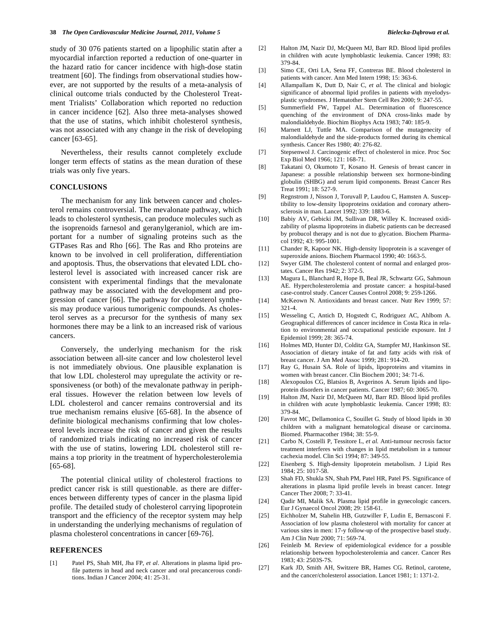study of 30 076 patients started on a lipophilic statin after a myocardial infarction reported a reduction of one-quarter in the hazard ratio for cancer incidence with high-dose statin treatment [60]. The findings from observational studies however, are not supported by the results of a meta-analysis of clinical outcome trials conducted by the Cholesterol Treatment Trialists' Collaboration which reported no reduction in cancer incidence [62]. Also three meta-analyses showed that the use of statins, which inhibit cholesterol synthesis, was not associated with any change in the risk of developing cancer [63-65].

 Nevertheless, their results cannot completely exclude longer term effects of statins as the mean duration of these trials was only five years.

#### **CONCLUSIONS**

 The mechanism for any link between cancer and cholesterol remains controversial. The mevalonate pathway, which leads to cholesterol synthesis, can produce molecules such as the isoprenoids farnesol and geranylgeraniol, which are important for a number of signaling proteins such as the GTPases Ras and Rho [66]. The Ras and Rho proteins are known to be involved in cell proliferation, differentiation and apoptosis. Thus, the observations that elevated LDL cholesterol level is associated with increased cancer risk are consistent with experimental findings that the mevalonate pathway may be associated with the development and progression of cancer [66]. The pathway for cholesterol synthesis may produce various tumorigenic compounds. As cholesterol serves as a precursor for the synthesis of many sex hormones there may be a link to an increased risk of various cancers.

 Conversely, the underlying mechanism for the risk association between all-site cancer and low cholesterol level is not immediately obvious. One plausible explanation is that low LDL cholesterol may upregulate the activity or responsiveness (or both) of the mevalonate pathway in peripheral tissues. However the relation between low levels of LDL cholesterol and cancer remains controversial and its true mechanism remains elusive [65-68]. In the absence of definite biological mechanisms confirming that low cholesterol levels increase the risk of cancer and given the results of randomized trials indicating no increased risk of cancer with the use of statins, lowering LDL cholesterol still remains a top priority in the treatment of hypercholesterolemia [65-68].

 The potential clinical utility of cholesterol fractions to predict cancer risk is still questionable. as there are differences between differenty types of cancer in the plasma lipid profile. The detailed study of cholesterol carrying lipoprotein transport and the efficiency of the receptor system may help in understanding the underlying mechanisms of regulation of plasma cholesterol concentrations in cancer [69-76].

### **REFERENCES**

[1] Patel PS, Shah MH, Jha FP, *et al.* Alterations in plasma lipid profile patterns in head and neck cancer and oral precancerous conditions. Indian J Cancer 2004; 41: 25-31.

- [2] Halton JM, Nazir DJ, McQueen MJ, Barr RD. Blood lipid profiles in children with acute lymphoblastic leukemia. Cancer 1998; 83: 379-84.
- [3] Simo CE, Orti LA, Sena FF, Contreras BE. Blood cholesterol in patients with cancer. Ann Med Intern 1998; 15: 363-6.
- [4] Allampallam K, Dutt D, Nair C*, et al.* The clinical and biologic significance of abnormal lipid profiles in patients with myelodysplastic syndromes. J Hematother Stem Cell Res 2000; 9: 247-55.
- [5] Summerfield FW, Tappel AL. Determination of fluorescence quenching of the environment of DNA cross-links made by malondialdehyde. Biochim Biophys Acta 1983; 740: 185-9.
- [6] Marnett LJ, Tuttle MA. Comparison of the mutagenecity of malondialdehyde and the side-products formed during its chemical synthesis. Cancer Res 1980; 40: 276-82.
- [7] Stepsenwol J. Carcinogenic effect of cholesterol in mice. Proc Soc Exp Biol Med 1966; 121: 168-71.
- [8] Takatani O, Okumoto T, Kosano H. Genesis of breast cancer in Japanese: a possible relationship between sex hormone-binding globulin (SHBG) and serum lipid components. Breast Cancer Res Treat 1991; 18: 527-9.
- [9] Regnstrom J, Nisson J, Toruvall P, Laudou C, Hamsten A. Susceptibility to low-density lipoproteins oxidation and coronary atherosclerosis in man. Lancet 1992; 339: 1883-6.
- [10] Babiy AV, Gebicki JM, Sullivan DR, Willey K. Increased oxidizability of plasma lipoproteins in diabetic patients can be decreased by probucol therapy and is not due to glycation. Biochem Pharmacol 1992; 43: 995-1001.
- [11] Chander R, Kapoor NK. High-density lipoprotein is a scavenger of superoxide anions. Biochem Pharmacol 1990; 40: 1663-5.
- [12] Swyer GIM. The cholesterol content of normal and enlarged prostates. Cancer Res 1942; 2: 372-5.
- [13] Magura L, Blanchard R, Hope B, Beal JR, Schwartz GG, Sahmoun AE. Hypercholesterolemia and prostate cancer: a hospital-based case-control study. Cancer Causes Control 2008; 9: 259-1266.
- [14] McKeown N. Antioxidants and breast cancer. Nutr Rev 1999; 57: 321-4.
- [15] Wesseling C, Antich D, Hogstedt C, Rodriguez AC, Ahlbom A. Geographical differences of cancer incidence in Costa Rica in relation to environmental and occupational pesticide exposure. Int J Epidemiol 1999; 28: 365-74.
- [16] Holmes MD, Hunter DJ, Colditz GA, Stampfer MJ, Hankinson SE. Association of dietary intake of fat and fatty acids with risk of breast cancer. J Am Med Assoc 1999; 281: 914-20.
- [17] Ray G, Husain SA. Role of lipids, lipoproteins and vitamins in women with breast cancer. Clin Biochem 2001; 34: 71-6.
- [18] Alexopoulos CG, Blatsios B, Avgerinos A. Serum lipids and lipoprotein disorders in cancer patients. Cancer 1987; 60: 3065-70.
- [19] Halton JM, Nazir DJ, McQueen MJ, Barr RD. Blood lipid profiles in children with acute lymphoblastic leukemia. Cancer 1998; 83: 379-84.
- [20] Favrot MC, Dellamonica C, Souillet G. Study of blood lipids in 30 children with a malignant hematological disease or carcinoma. Biomed. Pharmacother 1984; 38: 55-9.
- [21] Carbo N, Costelli P, Tessitore L, *et al.* Anti-tumour necrosis factor treatment interferes with changes in lipid metabolism in a tumour cachexia model. Clin Sci 1994; 87: 349-55.
- [22] Eisenberg S. High-density lipoprotein metabolism. J Lipid Res  $1984.25.1017-58$
- [23] Shah FD, Shukla SN, Shah PM, Patel HR, Patel PS. Significance of alterations in plasma lipid profile levels in breast cancer. Integr Cancer Ther 2008; 7: 33-41.
- [24] Qadir MI, Malik SA. Plasma lipid profile in gynecologic cancers. Eur J Gynaecol Oncol 2008; 29: 158-61.
- [25] Eichholzer M, Stahelin HB, Gutzwiller F, Ludin E, Bernasconi F. Association of low plasma cholesterol with mortality for cancer at various sites in men: 17-y follow-up of the prospective basel study. Am J Clin Nutr 2000; 71: 569-74.
- [26] Feinleib M. Review of epidemiological evidence for a possible relationship between hypocholesterolemia and cancer. Cancer Res 1983; 43: 2503S-7S.
- [27] Kark JD, Smith AH, Switzere BR, Hames CG. Retinol, carotene, and the cancer/cholesterol association. Lancet 1981; 1: 1371-2.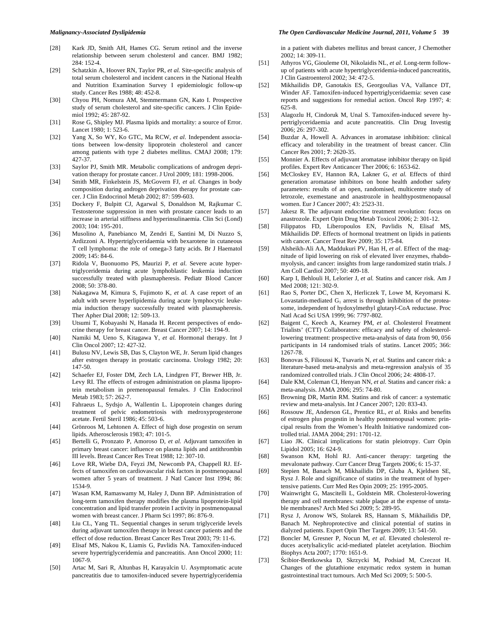- [28] Kark JD, Smith AH, Hames CG. Serum retinol and the inverse relationship between serum cholesterol and cancer. BMJ 1982; 284: 152-4.
- [29] Schatzkin A, Hoover RN, Taylor PR*, et al.* Site-specific analysis of total serum cholesterol and incident cancers in the National Health and Nutrition Examination Survey I epidemiologic follow-up study. Cancer Res 1988; 48: 452-8.
- [30] Chyou PH, Nomura AM, Stemmermann GN, Kato I. Prospective study of serum cholesterol and site-specific cancers. J Clin Epidemiol 1992; 45: 287-92.
- [31] Rose G, Shipley MJ. Plasma lipids and mortality: a source of Error. Lancet 1980; 1: 523-6.
- [32] Yang X, So WY, Ko GTC, Ma RCW, *et al.* Independent associations between low-density lipoprotein cholesterol and cancer among patients with type 2 diabetes mellitus. CMAJ 2008; 179: 427-37.
- [33] Saylor PJ, Smith MR. Metabolic complications of androgen deprivation therapy for prostate cancer. J Urol 2009; 181: 1998-2006.
- [34] Smith MR, Finkelstein JS, McGovern FJ, *et al.* Changes in body composition during androgen deprivation therapy for prostate cancer. J Clin Endocrinol Metab 2002; 87: 599-603.
- [35] Dockery F, Bulpitt CJ, Agarwal S, Donaldson M, Rajkumar C. Testosterone suppression in men with prostate cancer leads to an increase in arterial stiffness and hyperinsulinaemia. Clin Sci (Lond) 2003; 104: 195-201.
- [36] Musolino A, Panebianco M, Zendri E, Santini M, Di Nuzzo S, Ardizzoni A. Hypertriglyceridaemia with bexarotene in cutaneous T cell lymphoma: the role of omega-3 fatty acids. Br J Haematol 2009; 145: 84-6.
- [37] Ridola V, Buonuomo PS, Maurizi P, *et al*. Severe acute hypertriglyceridemia during acute lymphoblastic leukemia induction successfully treated with plasmapheresis. Pediatr Blood Cancer 2008; 50: 378-80.
- [38] Nakagawa M, Kimura S, Fujimoto K, *et al.* A case report of an adult with severe hyperlipidemia during acute lymphocytic leukemia induction therapy successfully treated with plasmapheresis. Ther Apher Dial 2008; 12: 509-13.
- [39] Utsumi T, Kobayashi N, Hanada H. Recent perspectives of endocrine therapy for breast cancer. Breast Cancer 2007; 14: 194-9.
- [40] Namiki M, Ueno S, Kitagawa Y, *et al.* Hormonal therapy. Int J Clin Oncol 2007; 12: 427-32.
- [41] Bulusu NV, Lewis SB, Das S, Clayton WE, Jr. Serum lipid changes after estrogen therapy in prostatic carcinoma. Urology 1982; 20: 147-50.
- [42] Schaefer EJ, Foster DM, Zech LA, Lindgren FT, Brewer HB, Jr. Levy RI. The effects of estrogen administration on plasma lipoprotein metabolism in premenopausal females. J Clin Endocrinol Metab 1983; 57: 262-7.
- [43] Fahraeus L, Sydsjo A, Wallentin L. Lipoprotein changes during treatment of pelvic endometriosis with medroxyprogesterone acetate. Fertil Steril 1986; 45: 503-6.
- [44] Grönroos M, Lehtonen A. Effect of high dose progestin on serum lipids. Atherosclerosis 1983; 47: 101-5.
- [45] Bertelli G, Pronzato P, Amoroso D, *et al.* Adjuvant tamoxifen in primary breast cancer: influence on plasma lipids and antithrombin III levels. Breast Cancer Res Treat 1988; 12: 307-10.
- [46] Love RR, Wiebe DA, Feyzi JM, Newcomb PA, Chappell RJ. Effects of tamoxifen on cardiovascular risk factors in postmenopausal women after 5 years of treatment. J Natl Cancer Inst 1994; 86: 1534-9.
- [47] Wasan KM, Ramaswamy M, Haley J, Dunn BP. Administration of long-term tamoxifen therapy modifies the plasma lipoprotein-lipid concentration and lipid transfer protein I activity in postmenopausal women with breast cancer. J Pharm Sci 1997; 86: 876-9.
- [48] Liu CL, Yang TL. Sequential changes in serum triglyceride levels during adjuvant tamoxifen therapy in breast cancer patients and the effect of dose reduction. Breast Cancer Res Treat 2003; 79: 11-6.
- [49] Elisaf MS, Nakou K, Liamis G, Pavlidis NA. Tamoxifen-induced severe hypertriglyceridemia and pancreatitis. Ann Oncol 2000; 11: 1067-9.
- [50] Artac M, Sari R, Altunbas H, Karayalcin U. Asymptomatic acute pancreatitis due to tamoxifen-induced severe hypertriglyceridemia

in a patient with diabetes mellitus and breast cancer, J Chemother 2002; 14: 309-11.

- [51] Athyros VG, Giouleme OI, Nikolaidis NL, *et al.* Long-term followup of patients with acute hypertriglyceridemia-induced pancreatitis, J Clin Gastroenterol 2002; 34: 472-5.
- [52] Mikhailidis DP, Ganotakis ES, Georgoulias VA, Vallance DT, Winder AF. Tamoxifen-induced hypertriglyceridaemia: seven case reports and suggestions for remedial action. Oncol Rep 1997; 4: 625-8.
- [53] Alagozlu H, Cindoruk M, Unal S. Tamoxifen-induced severe hypertriglyceridaemia and acute pancreatitis. Clin Drug Investig 2006; 26: 297-302.
- [54] Buzdar A, Howell A. Advances in aromatase inhibition: clinical efficacy and tolerability in the treatment of breast cancer. Clin Cancer Res 2001; **7**: 2620-35.
- [55] Monnier A. Effects of adjuvant aromatase inhibitor therapy on lipid profiles. Expert Rev Anticancer Ther 2006; 6: 1653-62.
- [56] McCloskey EV, Hannon RA, Lakner G, et al. Effects of third generation aromatase inhibitors on bone health andother safety parameters: results of an open, randomised, multicentre study of letrozole, exemestane and anastrozole in healthypostmenopausal women. Eur J Cancer 2007; 43: 2523-31.
- [57] Jakesz R. The adjuvant endocrine treatment revolution: focus on anastrozole. Expert Opin Drug Metab Toxicol 2006; 2: 301-12.
- [58] Filippatos FD, Liberopoulos EN, Pavlidis N, Elisaf MS, Mikhailidis DP. Effects of hormonal treatment on lipids in patients with cancer. Cancer Treat Rev 2009; 35: 175-84.
- [59] Alsheikh-Ali AA, Maddukuri PV, Han H, *et al.* Effect of the magnitude of lipid lowering on risk of elevated liver enzymes, rhabdomyolysis, and cancer: insights from large randomized statin trials. J Am Coll Cardiol 2007; 50: 409-18.
- [60] Karp I, Behlouli H, Lelorier J, *et al.* Statins and cancer risk. Am J Med 2008; 121: 302-9.
- [61] Rao S, Porter DC, Chen X, Herliczek T, Lowe M, Keyomarsi K. Lovastatin-mediated  $G_1$  arrest is through inihibition of the proteasome, independent of hydoxylmethyl glutaryl-CoA reductase. Proc Natl Acad Sci USA 1999; 96: 7797-802.
- [62] Baigent C, Keech A, Kearney PM, *et al.* Cholesterol Freatment Trialists' (CTT) Collaborators: efficacy and safety of cholesterollowering treatment: prospective meta-analysis of data from 90, 056 participants in 14 randomised trials of statins. Lancet 2005; 366: 1267-78.
- [63] Bonovas S, Filioussi K, Tsavaris N, *et al.* Statins and cancer risk: a literature-based meta-analysis and meta-regression analysis of 35 randomized controlled trials. J Clin Oncol 2006; 24: 4808-17.
- [64] Dale KM, Coleman CI, Henyan NN, *et al.* Statins and cancer risk: a meta-analysis. JAMA 2006; 295: 74-80.
- [65] Browning DR, Martin RM. Statins and risk of cancer: a systematic review and meta-analysis. Int J Cancer 2007; 120: 833-43.
- [66] Rossouw JE, Anderson GL, Prentice RL*, et al.* Risks and benefits of estrogen plus progestin in healthy postmenopusal women: principal results from the Women's Health Initiative randomized controlled trial. JAMA 2004; 291: 1701-12.
- [67] Liao JK. Clinical implications for statin pleiotropy. Curr Opin Lipidol 2005; 16: 624-9.
- [68] Swanson KM, Hohl RJ. Anti-cancer therapy: targeting the mevalonate pathway. Curr Cancer Drug Targets 2006; 6: 15-37.
- [69] Stepien M, Banach M, Mikhailidis DP, Gluba A, Kjeldsen SE, Rysz J. Role and significance of statins in the treatment of hypertensive patients. Curr Med Res Opin 2009; 25: 1995-2005.
- [70] Wainwright G, Mascitelli L, Goldstein MR. Cholesterol-lowering therapy and cell membranes: stable plaque at the expense of unstable membranes? Arch Med Sci 2009; 5: 289-95.
- [71] Rysz J, Aronow WS, Stolarek RS, Hannam S, Mikhailidis DP, Banach M. Nephroprotective and clinical potential of statins in dialyzed patients. Expert Opin Ther Targets 2009; 13: 541-50.
- [72] Boncler M, Gresner P, Nocun M, *et al.* Elevated cholesterol reduces acetylsalicylic acid-mediated platelet acetylation. Biochim Biophys Acta 2007; 1770: 1651-9.
- [73] Scibior-Bentkowska D, Skrzycki M, Podsiad M, Czeczot H. Changes of the glutathione enzymatic redox system in human gastrointestinal tract tumours. Arch Med Sci 2009; 5: 500-5.